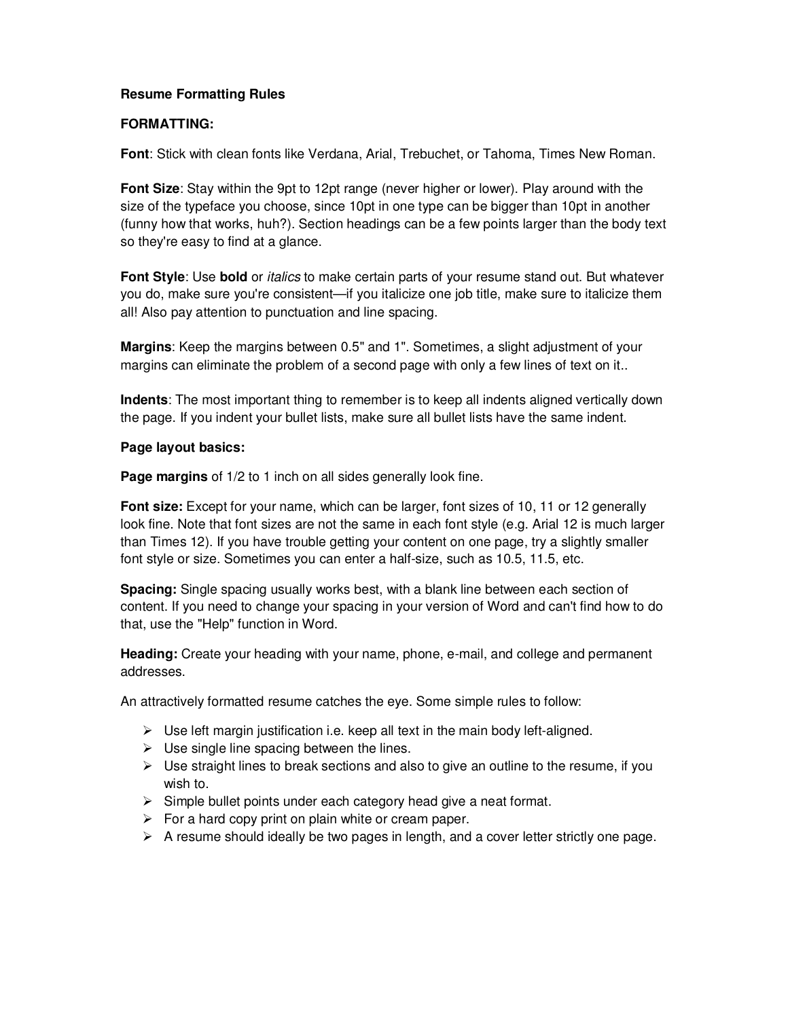### **Resume Formatting Rules**

#### **FORMATTING:**

**Font**: Stick with clean fonts like Verdana, Arial, Trebuchet, or Tahoma, Times New Roman.

**Font Size**: Stay within the 9pt to 12pt range (never higher or lower). Play around with the size of the typeface you choose, since 10pt in one type can be bigger than 10pt in another (funny how that works, huh?). Section headings can be a few points larger than the body text so they're easy to find at a glance.

**Font Style**: Use **bold** or italics to make certain parts of your resume stand out. But whatever you do, make sure you're consistent—if you italicize one job title, make sure to italicize them all! Also pay attention to punctuation and line spacing.

**Margins**: Keep the margins between 0.5" and 1". Sometimes, a slight adjustment of your margins can eliminate the problem of a second page with only a few lines of text on it..

**Indents**: The most important thing to remember is to keep all indents aligned vertically down the page. If you indent your bullet lists, make sure all bullet lists have the same indent.

#### **Page layout basics:**

**Page margins** of 1/2 to 1 inch on all sides generally look fine.

**Font size:** Except for your name, which can be larger, font sizes of 10, 11 or 12 generally look fine. Note that font sizes are not the same in each font style (e.g. Arial 12 is much larger than Times 12). If you have trouble getting your content on one page, try a slightly smaller font style or size. Sometimes you can enter a half-size, such as 10.5, 11.5, etc.

**Spacing:** Single spacing usually works best, with a blank line between each section of content. If you need to change your spacing in your version of Word and can't find how to do that, use the "Help" function in Word.

**Heading:** Create your heading with your name, phone, e-mail, and college and permanent addresses.

An attractively formatted resume catches the eye. Some simple rules to follow:

- $\triangleright$  Use left margin justification i.e. keep all text in the main body left-aligned.
- $\triangleright$  Use single line spacing between the lines.
- $\triangleright$  Use straight lines to break sections and also to give an outline to the resume, if you wish to.
- $\triangleright$  Simple bullet points under each category head give a neat format.
- $\triangleright$  For a hard copy print on plain white or cream paper.
- $\triangleright$  A resume should ideally be two pages in length, and a cover letter strictly one page.